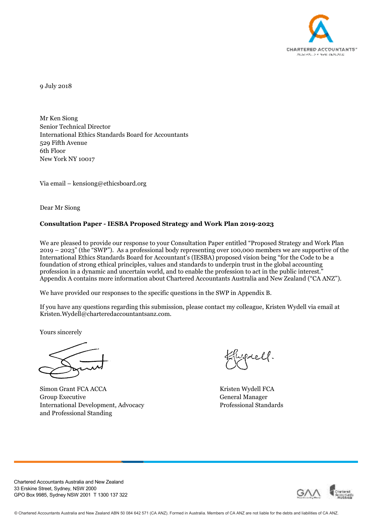

9 July 2018

Mr Ken Siong Senior Technical Director International Ethics Standards Board for Accountants 529 Fifth Avenue 6th Floor New York NY 10017

Via email – kensiong@ethicsboard.org

Dear Mr Siong

## **Consultation Paper - IESBA Proposed Strategy and Work Plan 2019-2023**

We are pleased to provide our response to your Consultation Paper entitled "Proposed Strategy and Work Plan 2019 – 2023" (the "SWP"). As a professional body representing over 100,000 members we are supportive of the International Ethics Standards Board for Accountant's (IESBA) proposed vision being "for the Code to be a foundation of strong ethical principles, values and standards to underpin trust in the global accounting profession in a dynamic and uncertain world, and to enable the profession to act in the public interest." Appendix A contains more information about Chartered Accountants Australia and New Zealand ("CA ANZ").

We have provided our responses to the specific questions in the SWP in Appendix B.

If you have any questions regarding this submission, please contact my colleague, Kristen Wydell via email at Kristen.Wydell@charteredaccountantsanz.com.

Yours sincerely

Simon Grant FCA ACCA Kristen Wydell FCA Group Executive General Manager International Development, Advocacy Professional Standards and Professional Standing

Werell.



Chartered Accountants Australia and New Zealand 33 Erskine Street, Sydney, NSW 2000 GPO Box 9985, Sydney NSW 2001 T 1300 137 322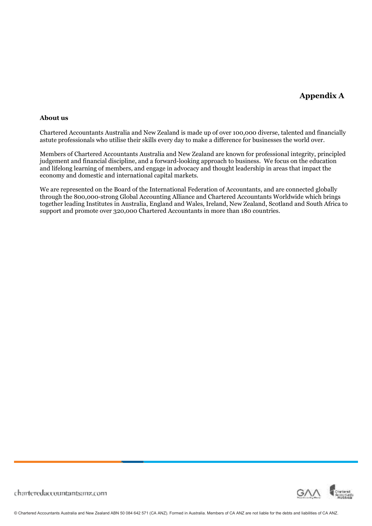# **Appendix A**

#### **About us**

Chartered Accountants Australia and New Zealand is made up of over 100,000 diverse, talented and financially astute professionals who utilise their skills every day to make a difference for businesses the world over.

Members of Chartered Accountants Australia and New Zealand are known for professional integrity, principled judgement and financial discipline, and a forward-looking approach to business. We focus on the education and lifelong learning of members, and engage in advocacy and thought leadership in areas that impact the economy and domestic and international capital markets.

We are represented on the Board of the International Federation of Accountants, and are connected globally through the 800,000-strong Global Accounting Alliance and Chartered Accountants Worldwide which brings together leading Institutes in Australia, England and Wales, Ireland, New Zealand, Scotland and South Africa to support and promote over 320,000 Chartered Accountants in more than 180 countries.



charteredaccountantsanz.com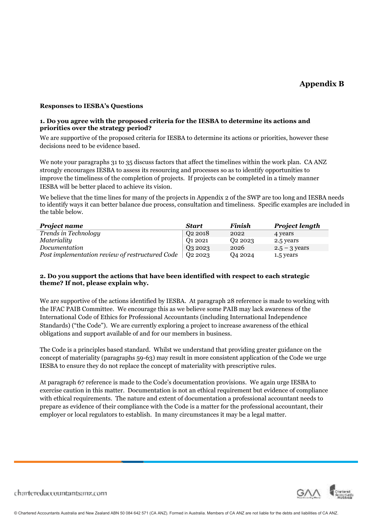# **Appendix B**

#### **Responses to IESBA's Questions**

#### **1. Do you agree with the proposed criteria for the IESBA to determine its actions and priorities over the strategy period?**

We are supportive of the proposed criteria for IESBA to determine its actions or priorities, however these decisions need to be evidence based.

We note your paragraphs 31 to 35 discuss factors that affect the timelines within the work plan. CA ANZ strongly encourages IESBA to assess its resourcing and processes so as to identify opportunities to improve the timeliness of the completion of projects. If projects can be completed in a timely manner IESBA will be better placed to achieve its vision.

We believe that the time lines for many of the projects in Appendix 2 of the SWP are too long and IESBA needs to identify ways it can better balance due process, consultation and timeliness. Specific examples are included in the table below.

| <b>Project name</b>                             | <b>Start</b>        | <b>Finish</b> | <b>Project length</b> |
|-------------------------------------------------|---------------------|---------------|-----------------------|
| Trends in Technology                            | Q <sub>2</sub> 2018 | 2022          | 4 years               |
| Materiality                                     | 01 2021             | 02 2023       | 2.5 years             |
| Documentation                                   | Q3 2023             | 2026          | $2.5 - 3$ years       |
| Post implementation review of restructured Code | 02 2023             | Q4 2024       | 1.5 years             |

## **2. Do you support the actions that have been identified with respect to each strategic theme? If not, please explain why.**

We are supportive of the actions identified by IESBA. At paragraph 28 reference is made to working with the IFAC PAIB Committee. We encourage this as we believe some PAIB may lack awareness of the International Code of Ethics for Professional Accountants (including International Independence Standards) ("the Code"). We are currently exploring a project to increase awareness of the ethical obligations and support available of and for our members in business.

The Code is a principles based standard. Whilst we understand that providing greater guidance on the concept of materiality (paragraphs 59-63) may result in more consistent application of the Code we urge IESBA to ensure they do not replace the concept of materiality with prescriptive rules.

At paragraph 67 reference is made to the Code's documentation provisions. We again urge IESBA to exercise caution in this matter. Documentation is not an ethical requirement but evidence of compliance with ethical requirements. The nature and extent of documentation a professional accountant needs to prepare as evidence of their compliance with the Code is a matter for the professional accountant, their employer or local regulators to establish. In many circumstances it may be a legal matter.



charteredaccountantsanz.com